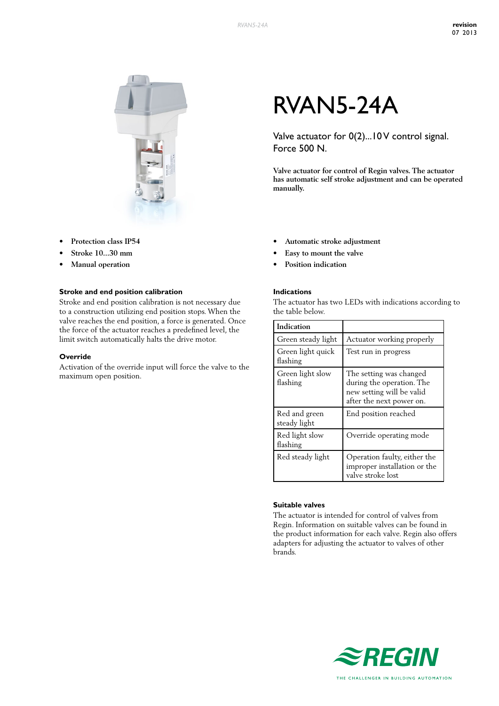

- **• Protection class IP54**
- **• Stroke 10...30 mm**
- **• Manual operation**

#### **Stroke and end position calibration**

Stroke and end position calibration is not necessary due to a construction utilizing end position stops. When the valve reaches the end position, a force is generated. Once the force of the actuator reaches a predefined level, the limit switch automatically halts the drive motor.

#### **Override**

Activation of the override input will force the valve to the maximum open position.

# RVAN5-24A

Valve actuator for 0(2)...10 V control signal. Force 500 N.

**Valve actuator for control of Regin valves. The actuator has automatic self stroke adjustment and can be operated manually.**

- **• Automatic stroke adjustment**
- Easy to mount the valve
- **Position indication**

#### **Indications**

The actuator has two LEDs with indications according to the table below.

| Indication                    |                                                                                                               |
|-------------------------------|---------------------------------------------------------------------------------------------------------------|
| Green steady light            | Actuator working properly                                                                                     |
| Green light quick<br>flashing | Test run in progress                                                                                          |
| Green light slow<br>flashing  | The setting was changed<br>during the operation. The<br>new setting will be valid<br>after the next power on. |
| Red and green<br>steady light | End position reached                                                                                          |
| Red light slow<br>flashing    | Override operating mode                                                                                       |
| Red steady light              | Operation faulty, either the<br>improper installation or the<br>valve stroke lost                             |

#### **Suitable valves**

The actuator is intended for control of valves from Regin. Information on suitable valves can be found in the product information for each valve. Regin also offers adapters for adjusting the actuator to valves of other brands.